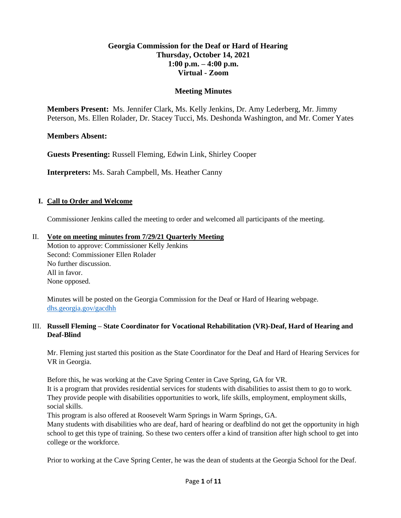## **Georgia Commission for the Deaf or Hard of Hearing Thursday, October 14, 2021 1:00 p.m. – 4:00 p.m. Virtual - Zoom**

## **Meeting Minutes**

**Members Present:** Ms. Jennifer Clark, Ms. Kelly Jenkins, Dr. Amy Lederberg, Mr. Jimmy Peterson, Ms. Ellen Rolader, Dr. Stacey Tucci, Ms. Deshonda Washington, and Mr. Comer Yates

## **Members Absent:**

**Guests Presenting:** Russell Fleming, Edwin Link, Shirley Cooper

**Interpreters:** Ms. Sarah Campbell, Ms. Heather Canny

#### **I. Call to Order and Welcome**

Commissioner Jenkins called the meeting to order and welcomed all participants of the meeting.

#### II. **Vote on meeting minutes from 7/29/21 Quarterly Meeting**

Motion to approve: Commissioner Kelly Jenkins Second: Commissioner Ellen Rolader No further discussion. All in favor. None opposed.

Minutes will be posted on the Georgia Commission for the Deaf or Hard of Hearing webpage. [dhs.georgia.gov/gacdhh](https://dhs.georgia.gov/organization/about/language-access/georgia-commission-deaf-or-hard-hearing-gcdhh)

#### III. **Russell Fleming – State Coordinator for Vocational Rehabilitation (VR)-Deaf, Hard of Hearing and Deaf-Blind**

Mr. Fleming just started this position as the State Coordinator for the Deaf and Hard of Hearing Services for VR in Georgia.

Before this, he was working at the Cave Spring Center in Cave Spring, GA for VR.

It is a program that provides residential services for students with disabilities to assist them to go to work. They provide people with disabilities opportunities to work, life skills, employment, employment skills, social skills.

This program is also offered at Roosevelt Warm Springs in Warm Springs, GA.

Many students with disabilities who are deaf, hard of hearing or deafblind do not get the opportunity in high school to get this type of training. So these two centers offer a kind of transition after high school to get into college or the workforce.

Prior to working at the Cave Spring Center, he was the dean of students at the Georgia School for the Deaf.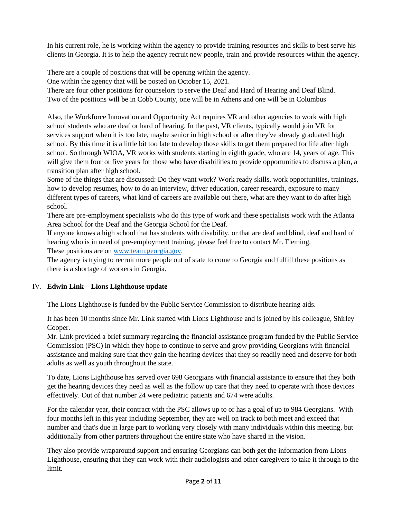In his current role, he is working within the agency to provide training resources and skills to best serve his clients in Georgia. It is to help the agency recruit new people, train and provide resources within the agency.

There are a couple of positions that will be opening within the agency.

One within the agency that will be posted on October 15, 2021.

There are four other positions for counselors to serve the Deaf and Hard of Hearing and Deaf Blind. Two of the positions will be in Cobb County, one will be in Athens and one will be in Columbus

Also, the Workforce Innovation and Opportunity Act requires VR and other agencies to work with high school students who are deaf or hard of hearing. In the past, VR clients, typically would join VR for services support when it is too late, maybe senior in high school or after they've already graduated high school. By this time it is a little bit too late to develop those skills to get them prepared for life after high school. So through WIOA, VR works with students starting in eighth grade, who are 14, years of age. This will give them four or five years for those who have disabilities to provide opportunities to discuss a plan, a transition plan after high school.

Some of the things that are discussed: Do they want work? Work ready skills, work opportunities, trainings, how to develop resumes, how to do an interview, driver education, career research, exposure to many different types of careers, what kind of careers are available out there, what are they want to do after high school.

There are pre-employment specialists who do this type of work and these specialists work with the Atlanta Area School for the Deaf and the Georgia School for the Deaf.

If anyone knows a high school that has students with disability, or that are deaf and blind, deaf and hard of hearing who is in need of pre-employment training, please feel free to contact Mr. Fleming. These positions are on [www.team.georgia.gov.](http://www.team.georgia.gov/)

The agency is trying to recruit more people out of state to come to Georgia and fulfill these positions as there is a shortage of workers in Georgia.

## IV. **Edwin Link – Lions Lighthouse update**

The Lions Lighthouse is funded by the Public Service Commission to distribute hearing aids.

It has been 10 months since Mr. Link started with Lions Lighthouse and is joined by his colleague, Shirley Cooper.

Mr. Link provided a brief summary regarding the financial assistance program funded by the Public Service Commission (PSC) in which they hope to continue to serve and grow providing Georgians with financial assistance and making sure that they gain the hearing devices that they so readily need and deserve for both adults as well as youth throughout the state.

To date, Lions Lighthouse has served over 698 Georgians with financial assistance to ensure that they both get the hearing devices they need as well as the follow up care that they need to operate with those devices effectively. Out of that number 24 were pediatric patients and 674 were adults.

For the calendar year, their contract with the PSC allows up to or has a goal of up to 984 Georgians. With four months left in this year including September, they are well on track to both meet and exceed that number and that's due in large part to working very closely with many individuals within this meeting, but additionally from other partners throughout the entire state who have shared in the vision.

They also provide wraparound support and ensuring Georgians can both get the information from Lions Lighthouse, ensuring that they can work with their audiologists and other caregivers to take it through to the limit.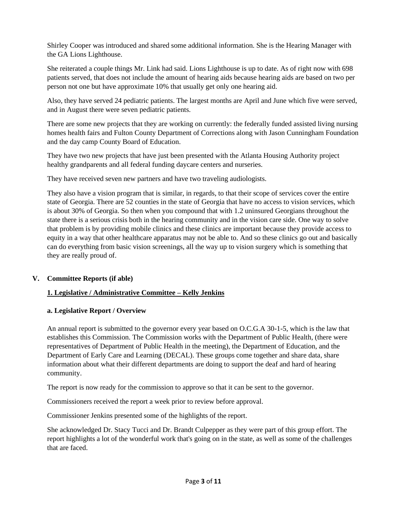Shirley Cooper was introduced and shared some additional information. She is the Hearing Manager with the GA Lions Lighthouse.

She reiterated a couple things Mr. Link had said. Lions Lighthouse is up to date. As of right now with 698 patients served, that does not include the amount of hearing aids because hearing aids are based on two per person not one but have approximate 10% that usually get only one hearing aid.

Also, they have served 24 pediatric patients. The largest months are April and June which five were served, and in August there were seven pediatric patients.

There are some new projects that they are working on currently: the federally funded assisted living nursing homes health fairs and Fulton County Department of Corrections along with Jason Cunningham Foundation and the day camp County Board of Education.

They have two new projects that have just been presented with the Atlanta Housing Authority project healthy grandparents and all federal funding daycare centers and nurseries.

They have received seven new partners and have two traveling audiologists.

They also have a vision program that is similar, in regards, to that their scope of services cover the entire state of Georgia. There are 52 counties in the state of Georgia that have no access to vision services, which is about 30% of Georgia. So then when you compound that with 1.2 uninsured Georgians throughout the state there is a serious crisis both in the hearing community and in the vision care side. One way to solve that problem is by providing mobile clinics and these clinics are important because they provide access to equity in a way that other healthcare apparatus may not be able to. And so these clinics go out and basically can do everything from basic vision screenings, all the way up to vision surgery which is something that they are really proud of.

## **V. Committee Reports (if able)**

## **1. Legislative / Administrative Committee – Kelly Jenkins**

## **a. Legislative Report / Overview**

An annual report is submitted to the governor every year based on O.C.G.A 30-1-5, which is the law that establishes this Commission. The Commission works with the Department of Public Health, (there were representatives of Department of Public Health in the meeting), the Department of Education, and the Department of Early Care and Learning (DECAL). These groups come together and share data, share information about what their different departments are doing to support the deaf and hard of hearing community.

The report is now ready for the commission to approve so that it can be sent to the governor.

Commissioners received the report a week prior to review before approval.

Commissioner Jenkins presented some of the highlights of the report.

She acknowledged Dr. Stacy Tucci and Dr. Brandt Culpepper as they were part of this group effort. The report highlights a lot of the wonderful work that's going on in the state, as well as some of the challenges that are faced.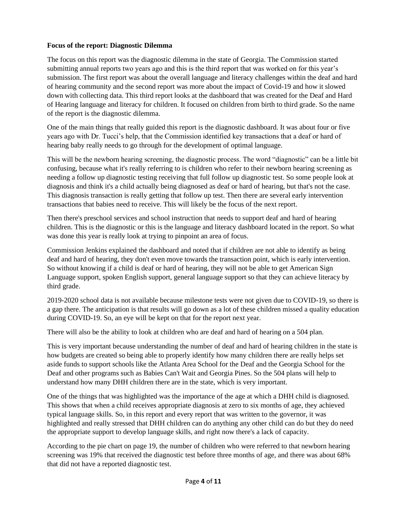#### **Focus of the report: Diagnostic Dilemma**

The focus on this report was the diagnostic dilemma in the state of Georgia. The Commission started submitting annual reports two years ago and this is the third report that was worked on for this year's submission. The first report was about the overall language and literacy challenges within the deaf and hard of hearing community and the second report was more about the impact of Covid-19 and how it slowed down with collecting data. This third report looks at the dashboard that was created for the Deaf and Hard of Hearing language and literacy for children. It focused on children from birth to third grade. So the name of the report is the diagnostic dilemma.

One of the main things that really guided this report is the diagnostic dashboard. It was about four or five years ago with Dr. Tucci's help, that the Commission identified key transactions that a deaf or hard of hearing baby really needs to go through for the development of optimal language.

This will be the newborn hearing screening, the diagnostic process. The word "diagnostic" can be a little bit confusing, because what it's really referring to is children who refer to their newborn hearing screening as needing a follow up diagnostic testing receiving that full follow up diagnostic test. So some people look at diagnosis and think it's a child actually being diagnosed as deaf or hard of hearing, but that's not the case. This diagnosis transaction is really getting that follow up test. Then there are several early intervention transactions that babies need to receive. This will likely be the focus of the next report.

Then there's preschool services and school instruction that needs to support deaf and hard of hearing children. This is the diagnostic or this is the language and literacy dashboard located in the report. So what was done this year is really look at trying to pinpoint an area of focus.

Commission Jenkins explained the dashboard and noted that if children are not able to identify as being deaf and hard of hearing, they don't even move towards the transaction point, which is early intervention. So without knowing if a child is deaf or hard of hearing, they will not be able to get American Sign Language support, spoken English support, general language support so that they can achieve literacy by third grade.

2019-2020 school data is not available because milestone tests were not given due to COVID-19, so there is a gap there. The anticipation is that results will go down as a lot of these children missed a quality education during COVID-19. So, an eye will be kept on that for the report next year.

There will also be the ability to look at children who are deaf and hard of hearing on a 504 plan.

This is very important because understanding the number of deaf and hard of hearing children in the state is how budgets are created so being able to properly identify how many children there are really helps set aside funds to support schools like the Atlanta Area School for the Deaf and the Georgia School for the Deaf and other programs such as Babies Can't Wait and Georgia Pines. So the 504 plans will help to understand how many DHH children there are in the state, which is very important.

One of the things that was highlighted was the importance of the age at which a DHH child is diagnosed. This shows that when a child receives appropriate diagnosis at zero to six months of age, they achieved typical language skills. So, in this report and every report that was written to the governor, it was highlighted and really stressed that DHH children can do anything any other child can do but they do need the appropriate support to develop language skills, and right now there's a lack of capacity.

According to the pie chart on page 19, the number of children who were referred to that newborn hearing screening was 19% that received the diagnostic test before three months of age, and there was about 68% that did not have a reported diagnostic test.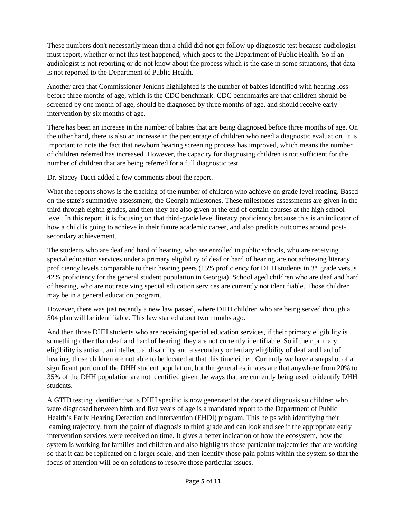These numbers don't necessarily mean that a child did not get follow up diagnostic test because audiologist must report, whether or not this test happened, which goes to the Department of Public Health. So if an audiologist is not reporting or do not know about the process which is the case in some situations, that data is not reported to the Department of Public Health.

Another area that Commissioner Jenkins highlighted is the number of babies identified with hearing loss before three months of age, which is the CDC benchmark. CDC benchmarks are that children should be screened by one month of age, should be diagnosed by three months of age, and should receive early intervention by six months of age.

There has been an increase in the number of babies that are being diagnosed before three months of age. On the other hand, there is also an increase in the percentage of children who need a diagnostic evaluation. It is important to note the fact that newborn hearing screening process has improved, which means the number of children referred has increased. However, the capacity for diagnosing children is not sufficient for the number of children that are being referred for a full diagnostic test.

Dr. Stacey Tucci added a few comments about the report.

What the reports shows is the tracking of the number of children who achieve on grade level reading. Based on the state's summative assessment, the Georgia milestones. These milestones assessments are given in the third through eighth grades, and then they are also given at the end of certain courses at the high school level. In this report, it is focusing on that third-grade level literacy proficiency because this is an indicator of how a child is going to achieve in their future academic career, and also predicts outcomes around postsecondary achievement.

The students who are deaf and hard of hearing, who are enrolled in public schools, who are receiving special education services under a primary eligibility of deaf or hard of hearing are not achieving literacy proficiency levels comparable to their hearing peers (15% proficiency for DHH students in 3<sup>rd</sup> grade versus 42% proficiency for the general student population in Georgia). School aged children who are deaf and hard of hearing, who are not receiving special education services are currently not identifiable. Those children may be in a general education program.

However, there was just recently a new law passed, where DHH children who are being served through a 504 plan will be identifiable. This law started about two months ago.

And then those DHH students who are receiving special education services, if their primary eligibility is something other than deaf and hard of hearing, they are not currently identifiable. So if their primary eligibility is autism, an intellectual disability and a secondary or tertiary eligibility of deaf and hard of hearing, those children are not able to be located at that this time either. Currently we have a snapshot of a significant portion of the DHH student population, but the general estimates are that anywhere from 20% to 35% of the DHH population are not identified given the ways that are currently being used to identify DHH students.

A GTID testing identifier that is DHH specific is now generated at the date of diagnosis so children who were diagnosed between birth and five years of age is a mandated report to the Department of Public Health's Early Hearing Detection and Intervention (EHDI) program. This helps with identifying their learning trajectory, from the point of diagnosis to third grade and can look and see if the appropriate early intervention services were received on time. It gives a better indication of how the ecosystem, how the system is working for families and children and also highlights those particular trajectories that are working so that it can be replicated on a larger scale, and then identify those pain points within the system so that the focus of attention will be on solutions to resolve those particular issues.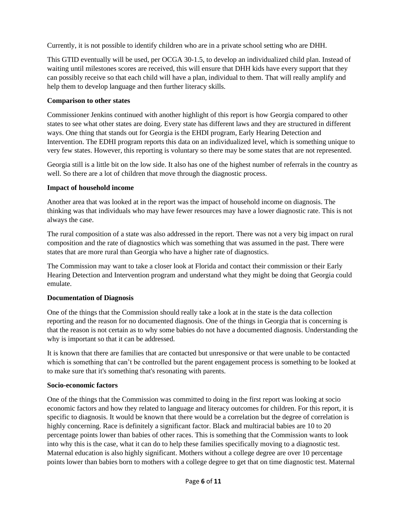Currently, it is not possible to identify children who are in a private school setting who are DHH.

This GTID eventually will be used, per OCGA 30-1.5, to develop an individualized child plan. Instead of waiting until milestones scores are received, this will ensure that DHH kids have every support that they can possibly receive so that each child will have a plan, individual to them. That will really amplify and help them to develop language and then further literacy skills.

## **Comparison to other states**

Commissioner Jenkins continued with another highlight of this report is how Georgia compared to other states to see what other states are doing. Every state has different laws and they are structured in different ways. One thing that stands out for Georgia is the EHDI program, Early Hearing Detection and Intervention. The EDHI program reports this data on an individualized level, which is something unique to very few states. However, this reporting is voluntary so there may be some states that are not represented.

Georgia still is a little bit on the low side. It also has one of the highest number of referrals in the country as well. So there are a lot of children that move through the diagnostic process.

## **Impact of household income**

Another area that was looked at in the report was the impact of household income on diagnosis. The thinking was that individuals who may have fewer resources may have a lower diagnostic rate. This is not always the case.

The rural composition of a state was also addressed in the report. There was not a very big impact on rural composition and the rate of diagnostics which was something that was assumed in the past. There were states that are more rural than Georgia who have a higher rate of diagnostics.

The Commission may want to take a closer look at Florida and contact their commission or their Early Hearing Detection and Intervention program and understand what they might be doing that Georgia could emulate.

## **Documentation of Diagnosis**

One of the things that the Commission should really take a look at in the state is the data collection reporting and the reason for no documented diagnosis. One of the things in Georgia that is concerning is that the reason is not certain as to why some babies do not have a documented diagnosis. Understanding the why is important so that it can be addressed.

It is known that there are families that are contacted but unresponsive or that were unable to be contacted which is something that can't be controlled but the parent engagement process is something to be looked at to make sure that it's something that's resonating with parents.

## **Socio-economic factors**

One of the things that the Commission was committed to doing in the first report was looking at socio economic factors and how they related to language and literacy outcomes for children. For this report, it is specific to diagnosis. It would be known that there would be a correlation but the degree of correlation is highly concerning. Race is definitely a significant factor. Black and multiracial babies are 10 to 20 percentage points lower than babies of other races. This is something that the Commission wants to look into why this is the case, what it can do to help these families specifically moving to a diagnostic test. Maternal education is also highly significant. Mothers without a college degree are over 10 percentage points lower than babies born to mothers with a college degree to get that on time diagnostic test. Maternal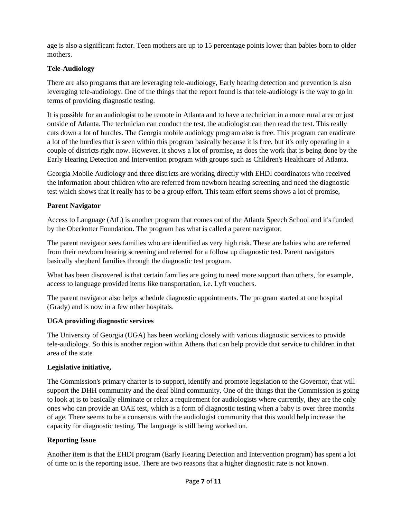age is also a significant factor. Teen mothers are up to 15 percentage points lower than babies born to older mothers.

## **Tele-Audiology**

There are also programs that are leveraging tele-audiology, Early hearing detection and prevention is also leveraging tele-audiology. One of the things that the report found is that tele-audiology is the way to go in terms of providing diagnostic testing.

It is possible for an audiologist to be remote in Atlanta and to have a technician in a more rural area or just outside of Atlanta. The technician can conduct the test, the audiologist can then read the test. This really cuts down a lot of hurdles. The Georgia mobile audiology program also is free. This program can eradicate a lot of the hurdles that is seen within this program basically because it is free, but it's only operating in a couple of districts right now. However, it shows a lot of promise, as does the work that is being done by the Early Hearing Detection and Intervention program with groups such as Children's Healthcare of Atlanta.

Georgia Mobile Audiology and three districts are working directly with EHDI coordinators who received the information about children who are referred from newborn hearing screening and need the diagnostic test which shows that it really has to be a group effort. This team effort seems shows a lot of promise,

## **Parent Navigator**

Access to Language (AtL) is another program that comes out of the Atlanta Speech School and it's funded by the Oberkotter Foundation. The program has what is called a parent navigator.

The parent navigator sees families who are identified as very high risk. These are babies who are referred from their newborn hearing screening and referred for a follow up diagnostic test. Parent navigators basically shepherd families through the diagnostic test program.

What has been discovered is that certain families are going to need more support than others, for example, access to language provided items like transportation, i.e. Lyft vouchers.

The parent navigator also helps schedule diagnostic appointments. The program started at one hospital (Grady) and is now in a few other hospitals.

## **UGA providing diagnostic services**

The University of Georgia (UGA) has been working closely with various diagnostic services to provide tele-audiology. So this is another region within Athens that can help provide that service to children in that area of the state

## **Legislative initiative,**

The Commission's primary charter is to support, identify and promote legislation to the Governor, that will support the DHH community and the deaf blind community. One of the things that the Commission is going to look at is to basically eliminate or relax a requirement for audiologists where currently, they are the only ones who can provide an OAE test, which is a form of diagnostic testing when a baby is over three months of age. There seems to be a consensus with the audiologist community that this would help increase the capacity for diagnostic testing. The language is still being worked on.

## **Reporting Issue**

Another item is that the EHDI program (Early Hearing Detection and Intervention program) has spent a lot of time on is the reporting issue. There are two reasons that a higher diagnostic rate is not known.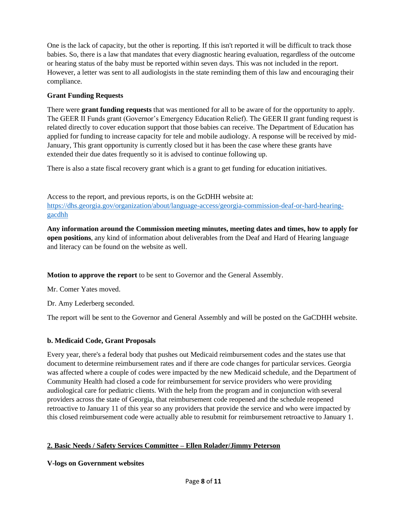One is the lack of capacity, but the other is reporting. If this isn't reported it will be difficult to track those babies. So, there is a law that mandates that every diagnostic hearing evaluation, regardless of the outcome or hearing status of the baby must be reported within seven days. This was not included in the report. However, a letter was sent to all audiologists in the state reminding them of this law and encouraging their compliance.

# **Grant Funding Requests**

There were **grant funding requests** that was mentioned for all to be aware of for the opportunity to apply. The GEER II Funds grant (Governor's Emergency Education Relief). The GEER II grant funding request is related directly to cover education support that those babies can receive. The Department of Education has applied for funding to increase capacity for tele and mobile audiology. A response will be received by mid-January, This grant opportunity is currently closed but it has been the case where these grants have extended their due dates frequently so it is advised to continue following up.

There is also a state fiscal recovery grant which is a grant to get funding for education initiatives.

Access to the report, and previous reports, is on the GcDHH website at: [https://dhs.georgia.gov/organization/about/language-access/georgia-commission-deaf-or-hard-hearing](https://dhs.georgia.gov/organization/about/language-access/georgia-commission-deaf-or-hard-hearing-gacdhh)[gacdhh](https://dhs.georgia.gov/organization/about/language-access/georgia-commission-deaf-or-hard-hearing-gacdhh)

**Any information around the Commission meeting minutes, meeting dates and times, how to apply for open positions**, any kind of information about deliverables from the Deaf and Hard of Hearing language and literacy can be found on the website as well.

**Motion to approve the report** to be sent to Governor and the General Assembly.

Mr. Comer Yates moved.

Dr. Amy Lederberg seconded.

The report will be sent to the Governor and General Assembly and will be posted on the GaCDHH website.

# **b. Medicaid Code, Grant Proposals**

Every year, there's a federal body that pushes out Medicaid reimbursement codes and the states use that document to determine reimbursement rates and if there are code changes for particular services. Georgia was affected where a couple of codes were impacted by the new Medicaid schedule, and the Department of Community Health had closed a code for reimbursement for service providers who were providing audiological care for pediatric clients. With the help from the program and in conjunction with several providers across the state of Georgia, that reimbursement code reopened and the schedule reopened retroactive to January 11 of this year so any providers that provide the service and who were impacted by this closed reimbursement code were actually able to resubmit for reimbursement retroactive to January 1.

# **2. Basic Needs / Safety Services Committee – Ellen Rolader/Jimmy Peterson**

## **V-logs on Government websites**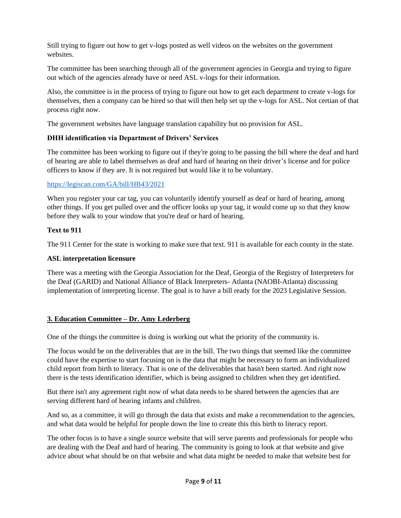Still trying to figure out how to get v-logs posted as well videos on the websites on the government websites.

The committee has been searching through all of the government agencies in Georgia and trying to figure out which of the agencies already have or need ASL v-logs for their information.

Also, the committee is in the process of trying to figure out how to get each department to create v-logs for themselves, then a company can be hired so that will then help set up the v-logs for ASL. Not certian of that process right now.

The government websites have language translation capability but no provision for ASL.

## **DHH identification via Department of Drivers' Services**

The committee has been working to figure out if they're going to be passing the bill where the deaf and hard of hearing are able to label themselves as deaf and hard of hearing on their driver's license and for police officers to know if they are. It is not required but would like it to be voluntary.

#### <https://legiscan.com/GA/bill/HB43/2021>

When you register your car tag, you can voluntarily identify yourself as deaf or hard of hearing, among other things. If you get pulled over and the officer looks up your tag, it would come up so that they know before they walk to your window that you're deaf or hard of hearing.

#### **Text to 911**

The 911 Center for the state is working to make sure that text. 911 is available for each county in the state.

#### **ASL interpretation licensure**

There was a meeting with the Georgia Association for the Deaf, Georgia of the Registry of Interpreters for the Deaf (GARID) and National Alliance of Black Interpreters- Atlanta (NAOBI-Atlanta) discussing implementation of interpreting license. The goal is to have a bill ready for the 2023 Legislative Session.

#### **3. Education Committee – Dr. Amy Lederberg**

One of the things the committee is doing is working out what the priority of the community is.

The focus would be on the deliverables that are in the bill. The two things that seemed like the committee could have the expertise to start focusing on is the data that might be necessary to form an individualized child report from birth to literacy. That is one of the deliverables that hasn't been started. And right now there is the tests identification identifier, which is being assigned to children when they get identified.

But there isn't any agreement right now of what data needs to be shared between the agencies that are serving different hard of hearing infants and children.

And so, as a committee, it will go through the data that exists and make a recommendation to the agencies, and what data would be helpful for people down the line to create this this birth to literacy report.

The other focus is to have a single source website that will serve parents and professionals for people who are dealing with the Deaf and hard of hearing. The community is going to look at that website and give advice about what should be on that website and what data might be needed to make that website best for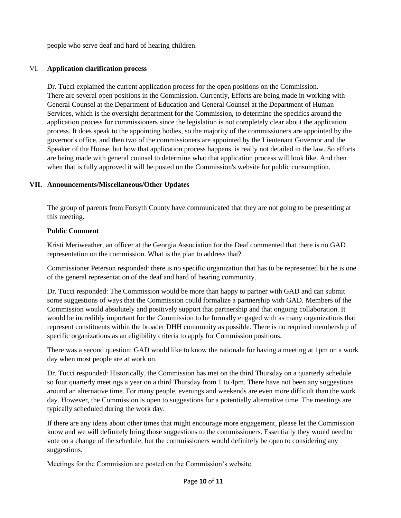people who serve deaf and hard of hearing children.

#### VI. **Application clarification process**

Dr. Tucci explained the current application process for the open positions on the Commission. There are several open positions in the Commission. Currently, Efforts are being made in working with General Counsel at the Department of Education and General Counsel at the Department of Human Services, which is the oversight department for the Commission, to determine the specifics around the application process for commissioners since the legislation is not completely clear about the application process. It does speak to the appointing bodies, so the majority of the commissioners are appointed by the governor's office, and then two of the commissioners are appointed by the Lieutenant Governor and the Speaker of the House, but how that application process happens, is really not detailed in the law. So efforts are being made with general counsel to determine what that application process will look like. And then when that is fully approved it will be posted on the Commission's website for public consumption.

#### **VII. Announcements/Miscellaneous/Other Updates**

The group of parents from Forsyth County have communicated that they are not going to be presenting at this meeting.

#### **Public Comment**

Kristi Meriweather, an officer at the Georgia Association for the Deaf commented that there is no GAD representation on the commission. What is the plan to address that?

Commissioner Peterson responded: there is no specific organization that has to be represented but he is one of the general representation of the deaf and hard of hearing community.

Dr. Tucci responded: The Commission would be more than happy to partner with GAD and can submit some suggestions of ways that the Commission could formalize a partnership with GAD. Members of the Commission would absolutely and positively support that partnership and that ongoing collaboration. It would be incredibly important for the Commission to be formally engaged with as many organizations that represent constituents within the broader DHH community as possible. There is no required membership of specific organizations as an eligibility criteria to apply for Commission positions.

There was a second question: GAD would like to know the rationale for having a meeting at 1pm on a work day when most people are at work on.

Dr. Tucci responded: Historically, the Commission has met on the third Thursday on a quarterly schedule so four quarterly meetings a year on a third Thursday from 1 to 4pm. There have not been any suggestions around an alternative time. For many people, evenings and weekends are even more difficult than the work day. However, the Commission is open to suggestions for a potentially alternative time. The meetings are typically scheduled during the work day.

If there are any ideas about other times that might encourage more engagement, please let the Commission know and we will definitely bring those suggestions to the commissioners. Essentially they would need to vote on a change of the schedule, but the commissioners would definitely be open to considering any suggestions.

Meetings for the Commission are posted on the Commission's website.